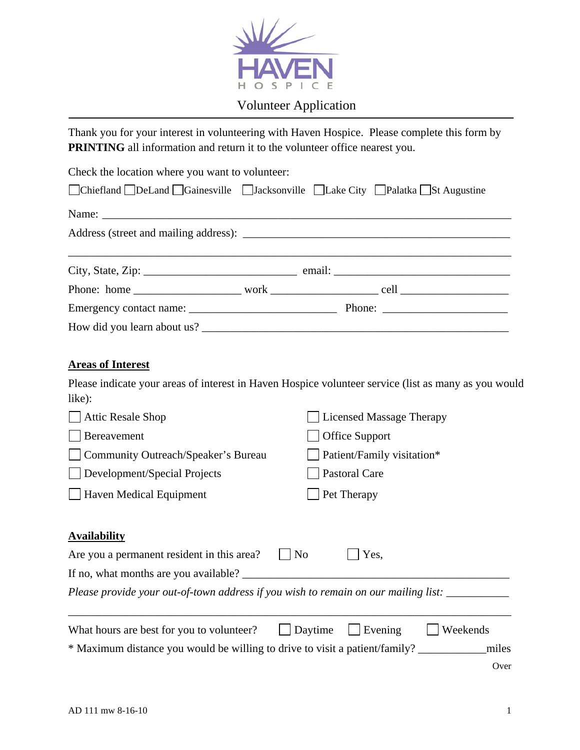

## Volunteer Application

Thank you for your interest in volunteering with Haven Hospice. Please complete this form by **PRINTING** all information and return it to the volunteer office nearest you.

Check the location where you want to volunteer: Chiefland DeLand Gainesville Jacksonville Lake City Palatka St Augustine Name: Address (street and mailing address): \_\_\_\_\_\_\_\_\_\_\_\_\_\_\_\_\_\_\_\_\_\_\_\_\_\_\_\_\_\_\_\_\_\_\_\_\_\_\_\_\_\_\_\_\_\_\_ City, State, Zip: \_\_\_\_\_\_\_\_\_\_\_\_\_\_\_\_\_\_\_\_\_\_\_\_\_\_\_ email: \_\_\_\_\_\_\_\_\_\_\_\_\_\_\_\_\_\_\_\_\_\_\_\_\_\_\_\_\_\_\_ Phone: home \_\_\_\_\_\_\_\_\_\_\_\_\_\_\_\_\_\_\_ work \_\_\_\_\_\_\_\_\_\_\_\_\_\_\_\_\_\_\_ cell \_\_\_\_\_\_\_\_\_\_\_\_\_\_\_\_\_\_\_ Emergency contact name:  $\blacksquare$  Phone:  $\blacksquare$ How did you learn about us? \_\_\_\_\_\_\_\_\_\_\_\_\_\_\_\_\_\_\_\_\_\_\_\_\_\_\_\_\_\_\_\_\_\_\_\_\_\_\_\_\_\_\_\_\_\_\_\_\_\_\_\_\_\_ **Areas of Interest**  Please indicate your areas of interest in Haven Hospice volunteer service (list as many as you would like): □ Attic Resale Shop Licensed Massage Therapy Bereavement **Office Support** □ Community Outreach/Speaker's Bureau □ Patient/Family visitation\* Development/Special Projects Pastoral Care

Haven Medical Equipment Pet Therapy

#### **Availability**

| Are you a permanent resident in this area?                                         | $\blacksquare$ No | $\vert$ Yes.            |          |
|------------------------------------------------------------------------------------|-------------------|-------------------------|----------|
| If no, what months are you available?                                              |                   |                         |          |
| Please provide your out-of-town address if you wish to remain on our mailing list: |                   |                         |          |
|                                                                                    |                   |                         |          |
| What hours are best for you to volunteer?                                          |                   | $\vert$ Daytime Evening | Weekends |
| * Maximum distance you would be willing to drive to visit a patient/family?        |                   |                         | miles    |

**Over**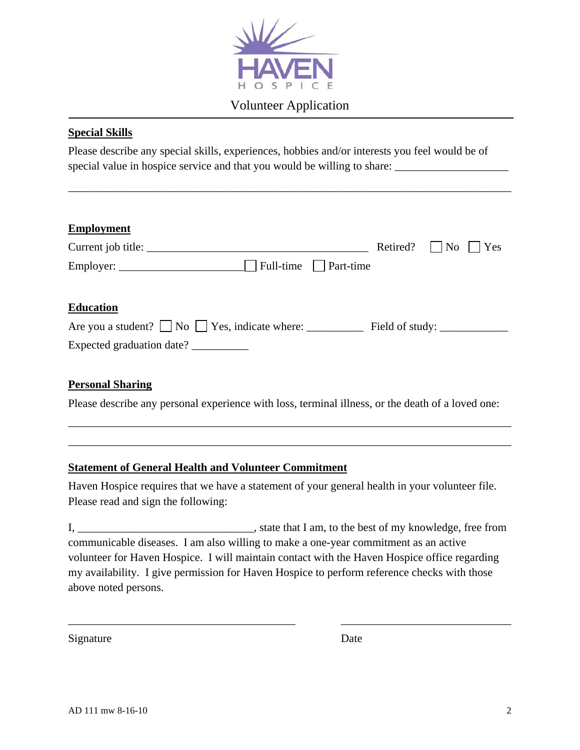

## Volunteer Application

#### **Special Skills**

Please describe any special skills, experiences, hobbies and/or interests you feel would be of special value in hospice service and that you would be willing to share:

\_\_\_\_\_\_\_\_\_\_\_\_\_\_\_\_\_\_\_\_\_\_\_\_\_\_\_\_\_\_\_\_\_\_\_\_\_\_\_\_\_\_\_\_\_\_\_\_\_\_\_\_\_\_\_\_\_\_\_\_\_\_\_\_\_\_\_\_\_\_\_\_\_\_\_\_\_\_

| <b>Employment</b><br>Current job title: | Retired? | $\vert$ $\vert$ No<br>Yes |
|-----------------------------------------|----------|---------------------------|
| Full-time     Part-time                 |          |                           |
| <b>Education</b>                        |          |                           |
|                                         |          |                           |
| Expected graduation date? __________    |          |                           |
|                                         |          |                           |
| <b>Personal Sharing</b>                 |          |                           |

Please describe any personal experience with loss, terminal illness, or the death of a loved one:

\_\_\_\_\_\_\_\_\_\_\_\_\_\_\_\_\_\_\_\_\_\_\_\_\_\_\_\_\_\_\_\_\_\_\_\_\_\_\_\_\_\_\_\_\_\_\_\_\_\_\_\_\_\_\_\_\_\_\_\_\_\_\_\_\_\_\_\_\_\_\_\_\_\_\_\_\_\_ \_\_\_\_\_\_\_\_\_\_\_\_\_\_\_\_\_\_\_\_\_\_\_\_\_\_\_\_\_\_\_\_\_\_\_\_\_\_\_\_\_\_\_\_\_\_\_\_\_\_\_\_\_\_\_\_\_\_\_\_\_\_\_\_\_\_\_\_\_\_\_\_\_\_\_\_\_\_

#### **Statement of General Health and Volunteer Commitment**

Haven Hospice requires that we have a statement of your general health in your volunteer file. Please read and sign the following:

I, \_\_\_\_\_\_\_\_\_\_\_\_\_\_\_\_\_\_\_\_\_\_\_\_\_\_\_\_\_\_\_, state that I am, to the best of my knowledge, free from communicable diseases. I am also willing to make a one-year commitment as an active volunteer for Haven Hospice. I will maintain contact with the Haven Hospice office regarding my availability. I give permission for Haven Hospice to perform reference checks with those above noted persons.

\_\_\_\_\_\_\_\_\_\_\_\_\_\_\_\_\_\_\_\_\_\_\_\_\_\_\_\_\_\_\_\_\_\_\_\_\_\_\_\_ \_\_\_\_\_\_\_\_\_\_\_\_\_\_\_\_\_\_\_\_\_\_\_\_\_\_\_\_\_\_

Signature Date